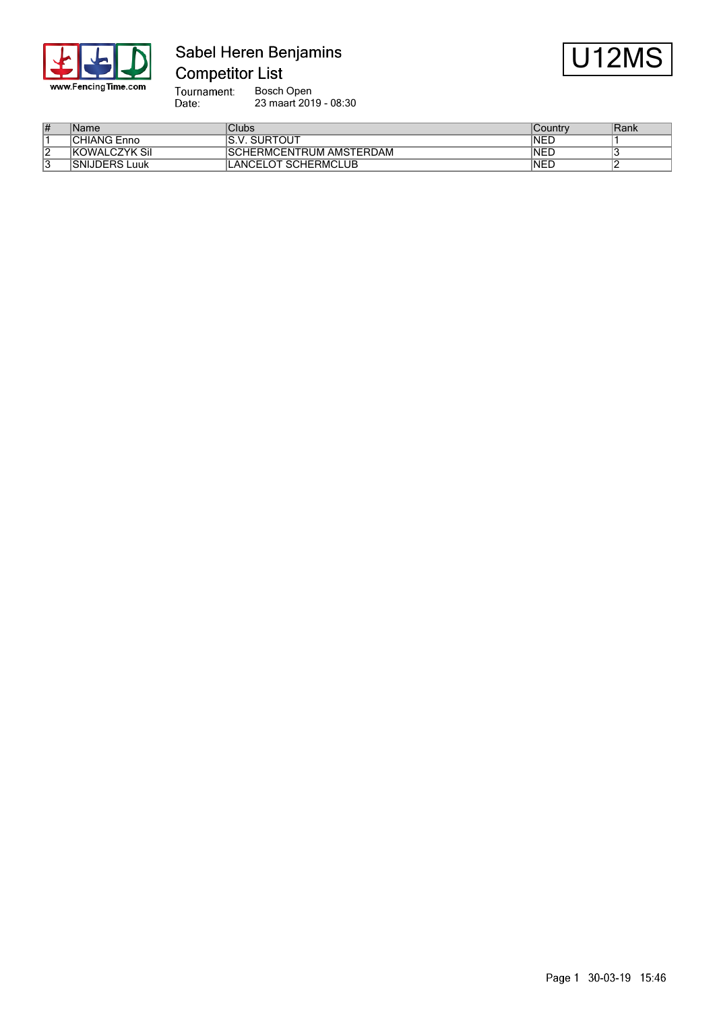

## Sabel Heren Benjamins **Competitor List**



Tournament:<br>Date: Bosch Open 23 maart 2019 - 08:30

| ∦               | Name                    | Clubs                                | √Country    | 'Rank |
|-----------------|-------------------------|--------------------------------------|-------------|-------|
|                 | <b>CHIANG Enno</b>      | <b>SURTOUT</b><br>$\mathbf{v}$<br>O. | INED        |       |
| $\sqrt{2}$<br>▵ | <b>KOWALCZYK Sil</b>    | ISCHERMCENTRUM AMSTERDAM             | <b>INED</b> |       |
| U               | <b>SNIJDERS</b><br>Luuk | ANCELOT SCHERMCLUB                   | <b>INED</b> |       |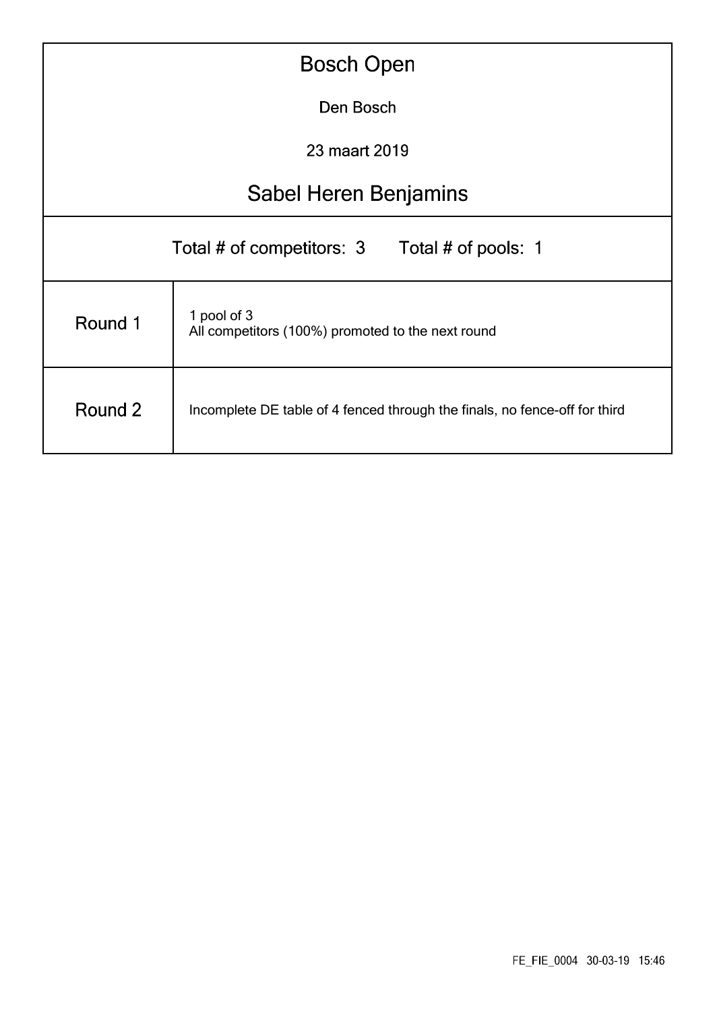| <b>Bosch Open</b>                                |                                                                            |  |  |  |  |  |  |  |  |
|--------------------------------------------------|----------------------------------------------------------------------------|--|--|--|--|--|--|--|--|
|                                                  | Den Bosch                                                                  |  |  |  |  |  |  |  |  |
|                                                  | 23 maart 2019                                                              |  |  |  |  |  |  |  |  |
|                                                  | <b>Sabel Heren Benjamins</b>                                               |  |  |  |  |  |  |  |  |
| Total # of competitors: 3<br>Total # of pools: 1 |                                                                            |  |  |  |  |  |  |  |  |
| Round 1                                          | 1 pool of 3<br>All competitors (100%) promoted to the next round           |  |  |  |  |  |  |  |  |
| Round 2                                          | Incomplete DE table of 4 fenced through the finals, no fence-off for third |  |  |  |  |  |  |  |  |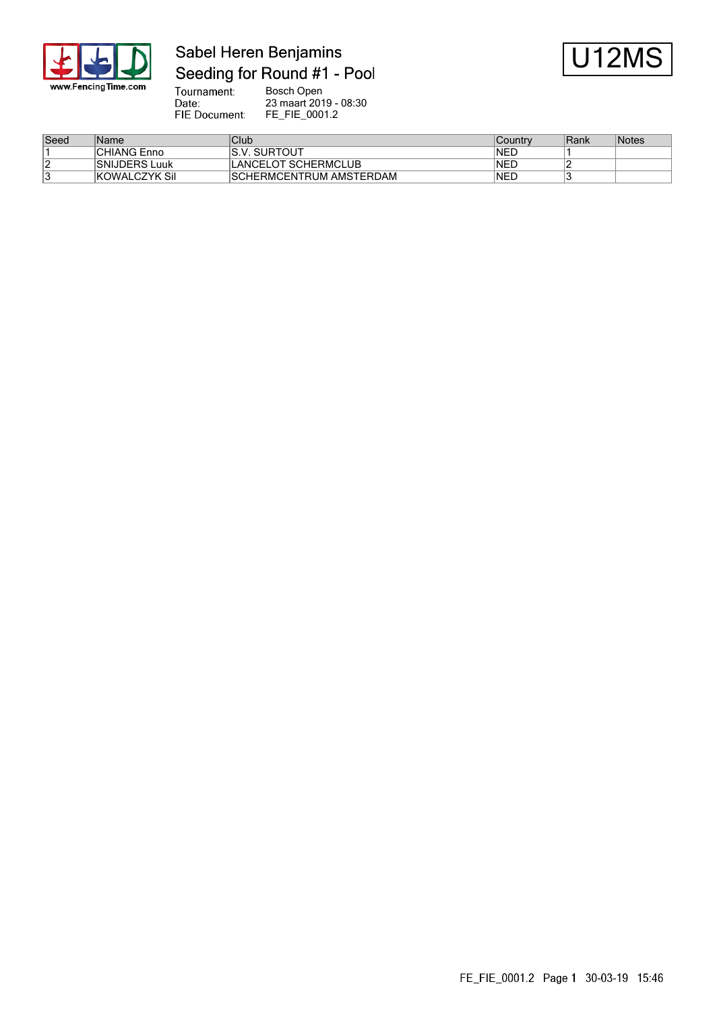

# Sabel Heren Benjamins Seeding for Round #1 - Pool



Tournament:<br>Date: Bosch Open 23 maart 2019 - 08:30 FIE Document: FE\_FIE\_0001.2

| Seed | Name                  | Club                     | Country | Rank | Notes |
|------|-----------------------|--------------------------|---------|------|-------|
|      | <b>CHIANG Enno</b>    | SURTOUT<br>IS.'<br>.V    | 'NEL    |      |       |
|      | <b>ISNIJDERS Luuk</b> | _ANCELOT SCHERMCLUB      | 'NEL    |      |       |
|      | <b>KOWALCZYK Sil</b>  | ISCHERMCENTRUM AMSTERDAM | 'NEL    |      |       |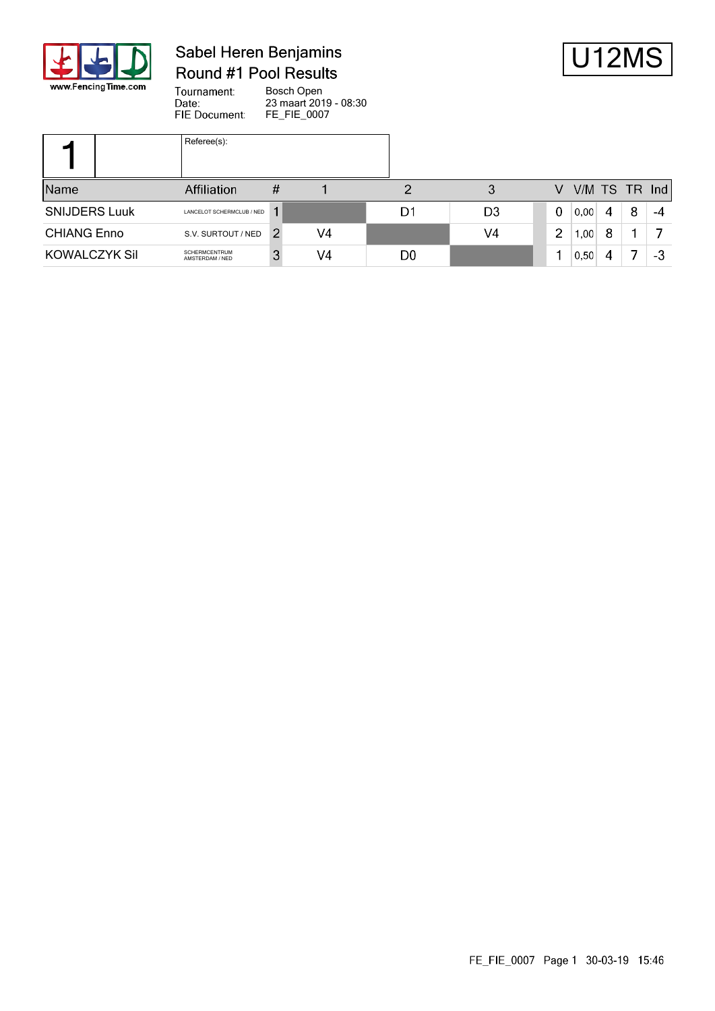

### Sabel Heren Benjamins Round #1 Pool Results



Tournament: Bosch Open Date: 23 maart 2019 - 08:30 FIE Document: FE\_FIE\_0007

|                      | Referee(s):                      |   |    |                |                |                |                 |   |   |    |
|----------------------|----------------------------------|---|----|----------------|----------------|----------------|-----------------|---|---|----|
| Name                 | Affiliation                      | Ħ |    |                |                | V              | $V/M$ TS TR Ind |   |   |    |
| <b>SNIJDERS Luuk</b> | LANCELOT SCHERMCLUB / NED        |   |    | D1             | D <sub>3</sub> | 0              | 0,00            | 4 | 8 | -4 |
| <b>CHIANG Enno</b>   | S.V. SURTOUT / NED               | 2 | V4 |                | V4             | $\overline{2}$ | 1,00            | 8 |   |    |
| KOWALCZYK Sil        | SCHERMCENTRUM<br>AMSTERDAM / NED | 3 | V4 | D <sub>0</sub> |                |                | 0,50            | 4 |   | -3 |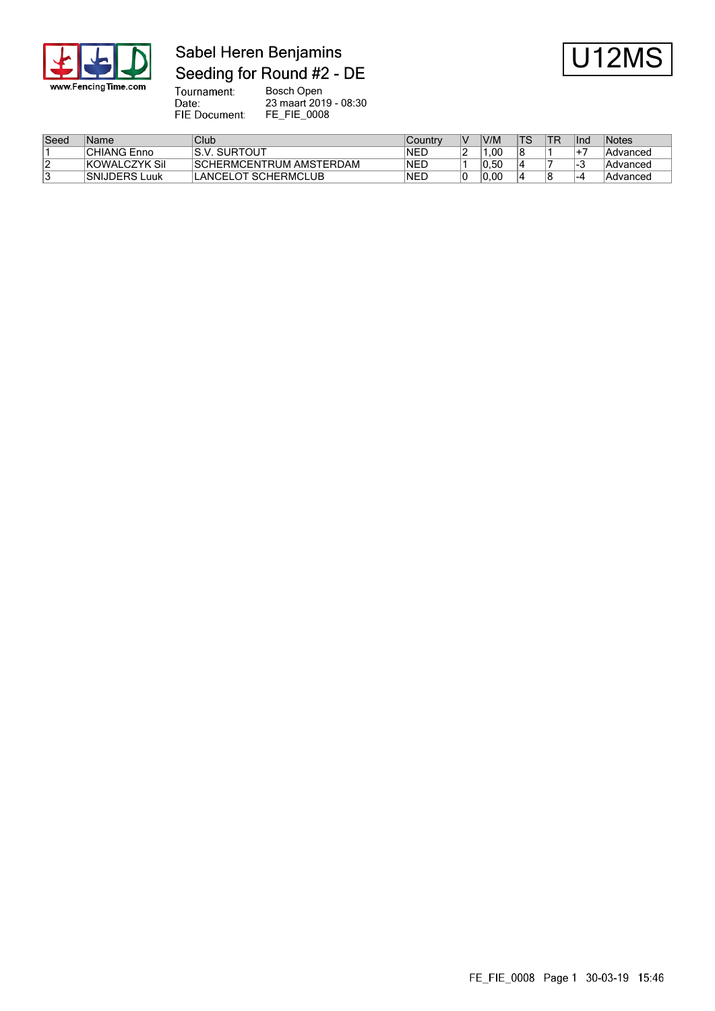

### Sabel Heren Benjamins Seeding for Round #2 - DE



Tournament:<br>Date: Bosch Open 23 maart 2019 - 08:30 FIE Document: FE\_FIE\_0008

| Seed | Name                 | Club                            | Country     | IV | V/M  |    | llnd | Notes    |
|------|----------------------|---------------------------------|-------------|----|------|----|------|----------|
|      | <b>CHIANG Enno</b>   | ıS.V.<br>. SURTOUT              | <b>INED</b> |    | .00  | 18 |      | Advanced |
|      | <b>KOWALCZYK Sil</b> | <b>ISCHERMCENTRUM AMSTERDAM</b> | INED        |    | 0.50 |    |      | Advanced |
|      | <b>SNIJDERS Luuk</b> | LANCELOT SCHERMCLUB             | INED        |    | 0.00 | 14 | -4   | Advanced |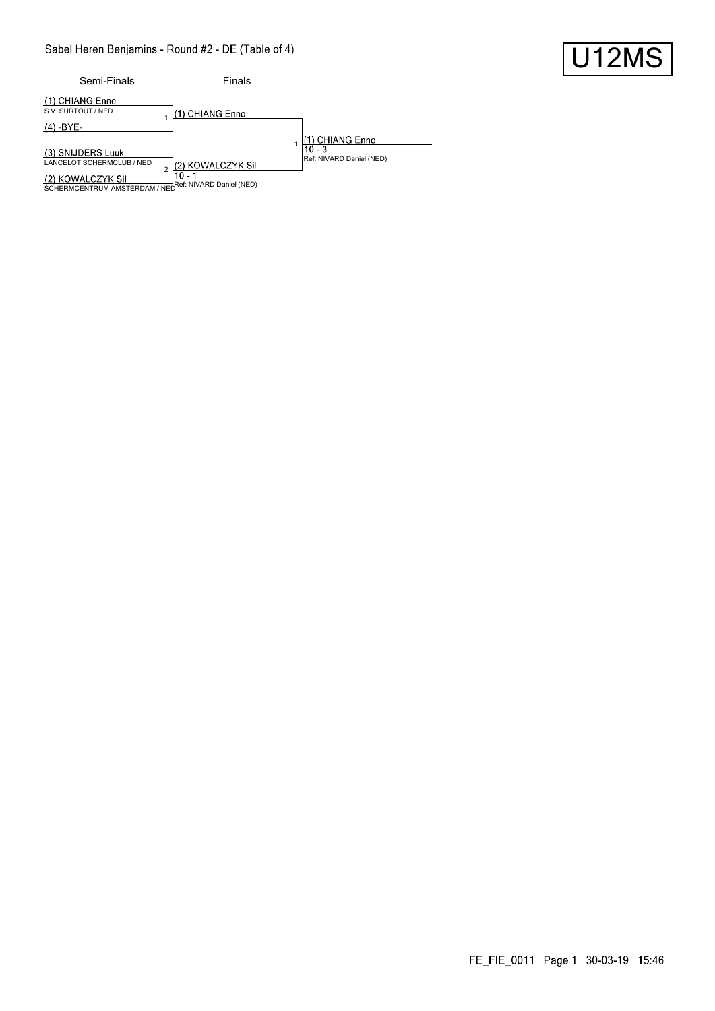#### Sabel Heren Benjamins - Round #2 - DE (Table of 4)

| Semi-Finals                                                                                                                  | Finals                    |                                                        |
|------------------------------------------------------------------------------------------------------------------------------|---------------------------|--------------------------------------------------------|
| (1) CHIANG Enno<br>S.V. SURTOUT / NED                                                                                        | 1) CHIANG Enno            |                                                        |
| (4) -BYE-                                                                                                                    |                           |                                                        |
| (3) SNIJDERS Luuk<br>LANCELOT SCHERMCLUB / NED<br>(2) KOWALCZYK Sil<br>SCHERMCENTRUM AMSTERDAM / NEDRef: NIVARD Daniel (NED) | (2) KOWALCZYK Sil<br>10 - | 1) CHIANG Enno<br>$10 - 3$<br>Ref: NIVARD Daniel (NED) |

#### FE\_FIE\_0011 Page 1 30-03-19 15:46

U12MS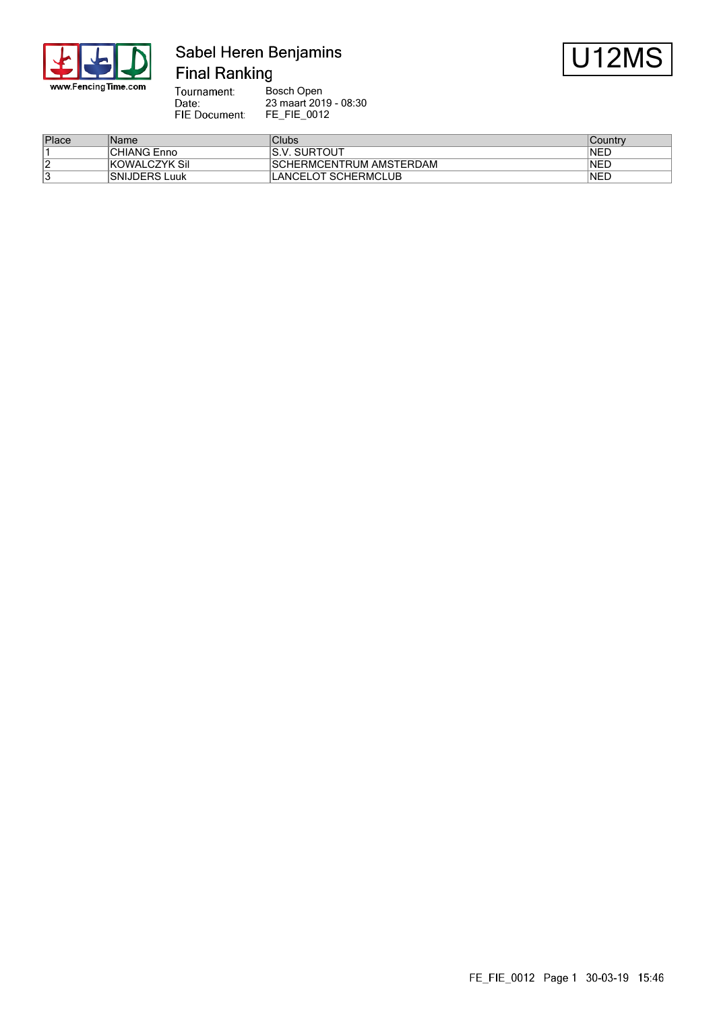

### Sabel Heren Benjamins **Final Ranking**



Tournament: Bosch Open Date: 23 maart 2019 - 08:30 FIE Document: FE\_FIE\_0012

| Place | ∣Name                | Clubs                    | Countrv     |
|-------|----------------------|--------------------------|-------------|
|       | <b>CHIANG Enno</b>   | IS.V. SURTOUT            | <b>INED</b> |
| ∠     | <b>KOWALCZYK Sil</b> | ISCHERMCENTRUM AMSTERDAM | INED        |
|       | <b>SNIJDERS Luuk</b> | LANCELOT SCHERMCLUB      | <b>INED</b> |